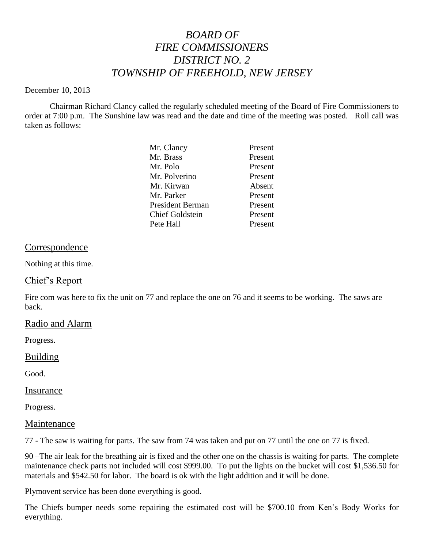# *BOARD OF FIRE COMMISSIONERS DISTRICT NO. 2 TOWNSHIP OF FREEHOLD, NEW JERSEY*

#### December 10, 2013

Chairman Richard Clancy called the regularly scheduled meeting of the Board of Fire Commissioners to order at 7:00 p.m. The Sunshine law was read and the date and time of the meeting was posted. Roll call was taken as follows:

| Mr. Clancy              | Present |
|-------------------------|---------|
| Mr. Brass               | Present |
| Mr. Polo                | Present |
| Mr. Polverino           | Present |
| Mr. Kirwan              | Absent  |
| Mr. Parker              | Present |
| <b>President Berman</b> | Present |
| <b>Chief Goldstein</b>  | Present |
| Pete Hall               | Present |
|                         |         |

### Correspondence

Nothing at this time.

# Chief's Report

Fire com was here to fix the unit on 77 and replace the one on 76 and it seems to be working. The saws are back.

### Radio and Alarm

Progress.

### Building

Good.

### Insurance

Progress.

### Maintenance

77 - The saw is waiting for parts. The saw from 74 was taken and put on 77 until the one on 77 is fixed.

90 –The air leak for the breathing air is fixed and the other one on the chassis is waiting for parts. The complete maintenance check parts not included will cost \$999.00. To put the lights on the bucket will cost \$1,536.50 for materials and \$542.50 for labor. The board is ok with the light addition and it will be done.

Plymovent service has been done everything is good.

The Chiefs bumper needs some repairing the estimated cost will be \$700.10 from Ken's Body Works for everything.